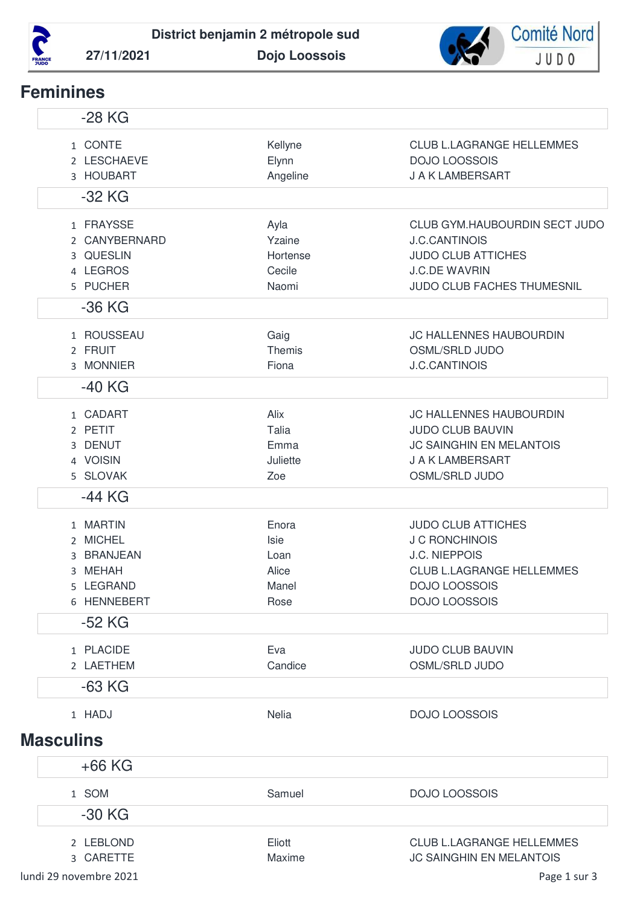



## **Feminines**

| $-28$ KG                                                                    |                                                 |                                                                                                                                                         |
|-----------------------------------------------------------------------------|-------------------------------------------------|---------------------------------------------------------------------------------------------------------------------------------------------------------|
| 1 CONTE<br>2 LESCHAEVE<br>3 HOUBART                                         | Kellyne<br>Elynn<br>Angeline                    | <b>CLUB L.LAGRANGE HELLEMMES</b><br><b>DOJO LOOSSOIS</b><br>J A K LAMBERSART                                                                            |
| $-32$ KG                                                                    |                                                 |                                                                                                                                                         |
| 1 FRAYSSE<br>2 CANYBERNARD<br>3 QUESLIN<br>4 LEGROS<br>5 PUCHER<br>$-36$ KG | Ayla<br>Yzaine<br>Hortense<br>Cecile<br>Naomi   | CLUB GYM.HAUBOURDIN SECT JUDO<br><b>J.C.CANTINOIS</b><br><b>JUDO CLUB ATTICHES</b><br><b>J.C.DE WAVRIN</b><br>JUDO CLUB FACHES THUMESNIL                |
|                                                                             |                                                 |                                                                                                                                                         |
| 1 ROUSSEAU<br>2 FRUIT<br>3 MONNIER                                          | Gaig<br>Themis<br>Fiona                         | JC HALLENNES HAUBOURDIN<br><b>OSML/SRLD JUDO</b><br><b>J.C.CANTINOIS</b>                                                                                |
| $-40$ KG                                                                    |                                                 |                                                                                                                                                         |
| 1 CADART<br>2 PETIT<br>3 DENUT<br>4 VOISIN<br>5 SLOVAK                      | Alix<br>Talia<br>Emma<br>Juliette<br>Zoe        | <b>JC HALLENNES HAUBOURDIN</b><br><b>JUDO CLUB BAUVIN</b><br><b>JC SAINGHIN EN MELANTOIS</b><br>J A K LAMBERSART<br><b>OSML/SRLD JUDO</b>               |
| $-44$ KG                                                                    |                                                 |                                                                                                                                                         |
| 1 MARTIN<br>2 MICHEL<br>3 BRANJEAN<br>3 MEHAH<br>5 LEGRAND<br>6 HENNEBERT   | Enora<br>Isie<br>Loan<br>Alice<br>Manel<br>Rose | <b>JUDO CLUB ATTICHES</b><br><b>J C RONCHINOIS</b><br><b>J.C. NIEPPOIS</b><br><b>CLUB L.LAGRANGE HELLEMMES</b><br>DOJO LOOSSOIS<br><b>DOJO LOOSSOIS</b> |
| $-52$ KG                                                                    |                                                 |                                                                                                                                                         |
| 1 PLACIDE<br>2 LAETHEM                                                      | Eva<br>Candice                                  | <b>JUDO CLUB BAUVIN</b><br><b>OSML/SRLD JUDO</b>                                                                                                        |
| $-63$ KG                                                                    |                                                 |                                                                                                                                                         |
| 1 HADJ<br><b>Masculins</b>                                                  | Nelia                                           | <b>DOJO LOOSSOIS</b>                                                                                                                                    |
| $+66$ KG                                                                    |                                                 |                                                                                                                                                         |
| 1 SOM<br>$-30$ KG                                                           | Samuel                                          | <b>DOJO LOOSSOIS</b>                                                                                                                                    |
| 2 LEBLOND<br>3 CARETTE                                                      | Eliott<br>Maxime                                | <b>CLUB L.LAGRANGE HELLEMMES</b><br><b>JC SAINGHIN EN MELANTOIS</b>                                                                                     |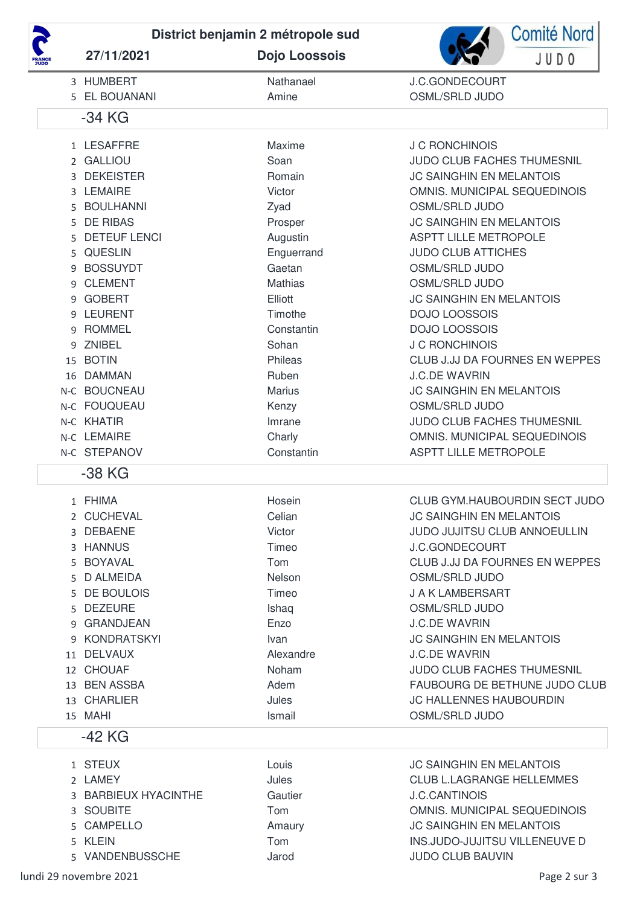

27/11/2021

District benjamin 2 métropole sud

Dojo Loossois



| <b>HUMBERT</b>                 | Nathanael                                                                                                                                                                                                                                                                                                                                                | J.C.GONDECOURT<br>OSML/SRLD JUDO     |
|--------------------------------|----------------------------------------------------------------------------------------------------------------------------------------------------------------------------------------------------------------------------------------------------------------------------------------------------------------------------------------------------------|--------------------------------------|
| -34 KG                         |                                                                                                                                                                                                                                                                                                                                                          |                                      |
|                                | Maxime                                                                                                                                                                                                                                                                                                                                                   | <b>J C RONCHINOIS</b>                |
|                                | Soan                                                                                                                                                                                                                                                                                                                                                     | JUDO CLUB FACHES THUMESNIL           |
| <b>DEKEISTER</b>               | Romain                                                                                                                                                                                                                                                                                                                                                   | <b>JC SAINGHIN EN MELANTOIS</b>      |
| <b>LEMAIRE</b>                 | Victor                                                                                                                                                                                                                                                                                                                                                   | OMNIS. MUNICIPAL SEQUEDINOIS         |
| <b>BOULHANNI</b>               | Zyad                                                                                                                                                                                                                                                                                                                                                     | <b>OSML/SRLD JUDO</b>                |
|                                | Prosper                                                                                                                                                                                                                                                                                                                                                  | <b>JC SAINGHIN EN MELANTOIS</b>      |
| <b>DETEUF LENCI</b>            | Augustin                                                                                                                                                                                                                                                                                                                                                 | <b>ASPTT LILLE METROPOLE</b>         |
|                                | Enguerrand                                                                                                                                                                                                                                                                                                                                               | <b>JUDO CLUB ATTICHES</b>            |
| <b>BOSSUYDT</b>                | Gaetan                                                                                                                                                                                                                                                                                                                                                   | <b>OSML/SRLD JUDO</b>                |
| <b>CLEMENT</b>                 | <b>Mathias</b>                                                                                                                                                                                                                                                                                                                                           | <b>OSML/SRLD JUDO</b>                |
| <b>GOBERT</b>                  | Elliott                                                                                                                                                                                                                                                                                                                                                  | <b>JC SAINGHIN EN MELANTOIS</b>      |
| <b>LEURENT</b>                 | Timothe                                                                                                                                                                                                                                                                                                                                                  | <b>DOJO LOOSSOIS</b>                 |
| <b>ROMMEL</b>                  | Constantin                                                                                                                                                                                                                                                                                                                                               | <b>DOJO LOOSSOIS</b>                 |
| <b>ZNIBEL</b>                  | Sohan                                                                                                                                                                                                                                                                                                                                                    | <b>J C RONCHINOIS</b>                |
| <b>BOTIN</b>                   | Phileas                                                                                                                                                                                                                                                                                                                                                  | CLUB J.JJ DA FOURNES EN WEPPES       |
| <b>DAMMAN</b>                  | Ruben                                                                                                                                                                                                                                                                                                                                                    | <b>J.C.DE WAVRIN</b>                 |
|                                | <b>Marius</b>                                                                                                                                                                                                                                                                                                                                            | <b>JC SAINGHIN EN MELANTOIS</b>      |
|                                | Kenzy                                                                                                                                                                                                                                                                                                                                                    | OSML/SRLD JUDO                       |
|                                | Imrane                                                                                                                                                                                                                                                                                                                                                   | JUDO CLUB FACHES THUMESNIL           |
|                                | Charly                                                                                                                                                                                                                                                                                                                                                   | OMNIS. MUNICIPAL SEQUEDINOIS         |
|                                | Constantin                                                                                                                                                                                                                                                                                                                                               | <b>ASPTT LILLE METROPOLE</b>         |
| -38 KG                         |                                                                                                                                                                                                                                                                                                                                                          |                                      |
|                                | Hosein                                                                                                                                                                                                                                                                                                                                                   | CLUB GYM.HAUBOURDIN SECT JUDO        |
|                                | Celian                                                                                                                                                                                                                                                                                                                                                   | <b>JC SAINGHIN EN MELANTOIS</b>      |
| <b>DEBAENE</b>                 | Victor                                                                                                                                                                                                                                                                                                                                                   | JUDO JUJITSU CLUB ANNOEULLIN         |
|                                | Timeo                                                                                                                                                                                                                                                                                                                                                    | <b>J.C.GONDECOURT</b>                |
| <b>BOYAVAL</b>                 | Tom                                                                                                                                                                                                                                                                                                                                                      | CLUB J.JJ DA FOURNES EN WEPPES       |
|                                | Nelson                                                                                                                                                                                                                                                                                                                                                   | <b>OSML/SRLD JUDO</b>                |
|                                | Timeo                                                                                                                                                                                                                                                                                                                                                    | <b>J A K LAMBERSART</b>              |
|                                | Ishaq                                                                                                                                                                                                                                                                                                                                                    | <b>OSML/SRLD JUDO</b>                |
|                                | Enzo                                                                                                                                                                                                                                                                                                                                                     | <b>J.C.DE WAVRIN</b>                 |
| <b>KONDRATSKYI</b>             | Ivan                                                                                                                                                                                                                                                                                                                                                     | <b>JC SAINGHIN EN MELANTOIS</b>      |
|                                | Alexandre                                                                                                                                                                                                                                                                                                                                                | <b>J.C.DE WAVRIN</b>                 |
|                                | Noham                                                                                                                                                                                                                                                                                                                                                    | <b>JUDO CLUB FACHES THUMESNIL</b>    |
|                                | Adem                                                                                                                                                                                                                                                                                                                                                     | <b>FAUBOURG DE BETHUNE JUDO CLUB</b> |
|                                | Jules                                                                                                                                                                                                                                                                                                                                                    | JC HALLENNES HAUBOURDIN              |
|                                | Ismail                                                                                                                                                                                                                                                                                                                                                   | OSML/SRLD JUDO                       |
| $-42$ KG                       |                                                                                                                                                                                                                                                                                                                                                          |                                      |
|                                | Louis                                                                                                                                                                                                                                                                                                                                                    | <b>JC SAINGHIN EN MELANTOIS</b>      |
| 5<br>16<br>5.<br>5.<br>5.<br>9 | 5 EL BOUANANI<br>1 LESAFFRE<br>2 GALLIOU<br><b>DE RIBAS</b><br><b>QUESLIN</b><br>15<br>N-C BOUCNEAU<br>N-C FOUQUEAU<br>N-C KHATIR<br>N-C LEMAIRE<br>N-C STEPANOV<br>1 FHIMA<br>2 CUCHEVAL<br>3 HANNUS<br><b>D ALMEIDA</b><br>DE BOULOIS<br><b>DEZEURE</b><br>9 GRANDJEAN<br>11 DELVAUX<br>12 CHOUAF<br>13 BEN ASSBA<br>13 CHARLIER<br>15 MAHI<br>1 STEUX | Amine                                |

2 LAMEY Jules **CLUB L.LAGRANGE HELLEMMES** 3 BARBIEUX HYACINTHE Gautier **J.C.CANTINOIS** 3 SOUBITE Tom OMNIS. MUNICIPAL SEQUEDINOIS **JC SAINGHIN EN MELANTOIS** 5 CAMPELLO Amaury Tom INS.JUDO-JUJITSU VILLENEUVE D 5 KLEIN JUDO CLUB BAUVIN 5 VANDENBUSSCHE Jarod